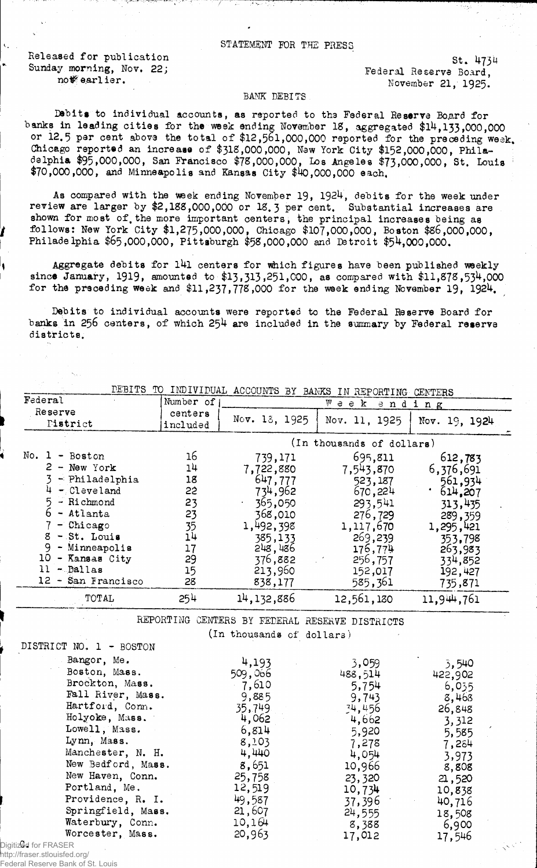Released for publication 5t. 4734<br>
Sunday morning, Nov. 22;<br> **Example 31 and 23**<br> **Example 31 and 321 and 4734**<br> **Example 31 and 4734** 

US morning, Nov. 22;<br>not rederal Reserve Board, not rederal Reserve Board, not rederal Reserve Board, November 21, 1925.

## BANK DEBITS

Debits to individual accounts, as reported to the Federal Reserve Board for banks in leading cities for the week ending November 18, aggregated \$14,133,000,000 or 12.5 par cent above the total of \$12,561,000,000 reported for the preceding week. Chicago reported an increase of \$31S,000,000, New York City \$152,000,000, Philadelphia \$95,000,000, San Frdncisco \$73,000,000, Los Angeles \$73,000,000, St. Louis :  $$70,000,000,$  and Minneapolis and Kansas City  $$40,000,000$  each.

As compared with the week ending November 19, 1924, debits for the week under review are larger by \$2,188,000,000 or 18. **3** per cent. Substantial increases are shown for most of the more important centers, the principal increases being as follows: New York City \$1,275,000,000, Chicago \$107,000,000, Boston \$86,000,000, Philadelphia \$65,000,000, Pittsburgh \$58,000,000 and Detroit \$54,000,000.

Aggregate debits for l4l centers for which figures have been published weekly since January, 1919, amounted to \$13,313,251,000, as compared with \$11,878,534,000 for the preceding week and  $$11,237,778,000$  for the week ending November 19, 1924.

Debits to individual accounts were reported to the Federal Reserve Board for banks in 256 centers, of which 254 are included in the summary by Federal reserve districts.

|                                                                                                                                                                                                                                                                                                              |                                                                      |                                                                                                                                                       | DEBITS TO INDIVIDUAL ACCOUNTS BY BANKS IN REPORTING CENTERS                                                                                           |                                                                                                                                                      |
|--------------------------------------------------------------------------------------------------------------------------------------------------------------------------------------------------------------------------------------------------------------------------------------------------------------|----------------------------------------------------------------------|-------------------------------------------------------------------------------------------------------------------------------------------------------|-------------------------------------------------------------------------------------------------------------------------------------------------------|------------------------------------------------------------------------------------------------------------------------------------------------------|
| Federal                                                                                                                                                                                                                                                                                                      | Number of                                                            |                                                                                                                                                       | W e e K                                                                                                                                               | ending                                                                                                                                               |
| Reserve<br>Tistrict                                                                                                                                                                                                                                                                                          | centers<br>included                                                  | Nov. 13, 1925                                                                                                                                         | Nov. 11, 1925                                                                                                                                         | Nov. 19, 1924                                                                                                                                        |
|                                                                                                                                                                                                                                                                                                              |                                                                      |                                                                                                                                                       | (In thousands of dollars)                                                                                                                             |                                                                                                                                                      |
| No. $1 - Boston$<br>$2 - New York$<br>$-$ Philadelphia<br>$4 -$ Cleveland<br>5 - Richmond<br>$6$ - Atlanta<br>$7 -$ Chicago<br>$8 - St.$ Louis<br>9<br>- Minneapolis<br>10 - Kansas City<br>$11 -$ Dallas<br>12 - San Francisco                                                                              | 16<br>14<br>18<br>22<br>23<br>23<br>35<br>14<br>17<br>29<br>15<br>28 | 739,171<br>7,722,880<br>647,777<br>734,962<br>365,050<br>368,010<br>1,492,398<br>385,133<br>248,486<br>376,882<br>213,960<br>838,177                  | 695,811<br>7,543,870<br>523,187<br>670,224<br>293,541<br>276,729<br>1,117,670<br>269,239<br>176,774<br>256,757<br>152,017<br>585,361                  | 612,783<br>6,376,691<br>561,934<br>.614,207<br>313,435<br>289,359<br>1,295,421<br>353.798<br>263,983<br>334,852<br>192,427<br>735,871                |
| TOTAL                                                                                                                                                                                                                                                                                                        | 254                                                                  | 14, 132, 886                                                                                                                                          | 12,561,130                                                                                                                                            | 11,944,761                                                                                                                                           |
| DISTRICT NO. 1 - BOSTON                                                                                                                                                                                                                                                                                      |                                                                      | (In thousands of dollars)                                                                                                                             | REPORTING CENTERS BY FEDERAL RESERVE DISTRICTS                                                                                                        |                                                                                                                                                      |
| Bangor, Me.<br>Boston, Mass.<br>Brockton, Mass.<br>Fall River, Mass.<br>Hartford, Conn.<br>Holyoke, Mass.<br>Lowell, Mass.<br>Lynn, Mass.<br>Manchester, N. H.<br>New Bedford, Mass.<br>New Haven, Conn.<br>Portland, Me.<br>Providence, R. I.<br>Springfield, Mass.<br>Waterbury, Conn.<br>Worcester, Mass. |                                                                      | 4,193<br>509,066<br>7,610<br>9,885<br>35,749<br>4,062<br>6,814<br>8,103<br>4,440<br>8,651<br>25,758<br>12,519<br>49,587<br>21,607<br>10,164<br>20,963 | 3,059<br>488,514<br>5,754<br>9,743<br>34,456<br>4,662<br>5,920<br>7,278<br>4,054<br>10,966<br>23,320<br>10,734<br>37,396<br>24,555<br>8,388<br>17,012 | 3,540<br>422,902<br>6,035<br>8,468<br>26,848<br>3,312<br>5,585<br>7,284<br>3,973<br>8,808<br>21,520<br>10,838<br>40,716<br>18,508<br>6,900<br>17,546 |

Digitized for FRASER http://fraser.stlouisfed.org/

Federal Reserve Bank of St. Louis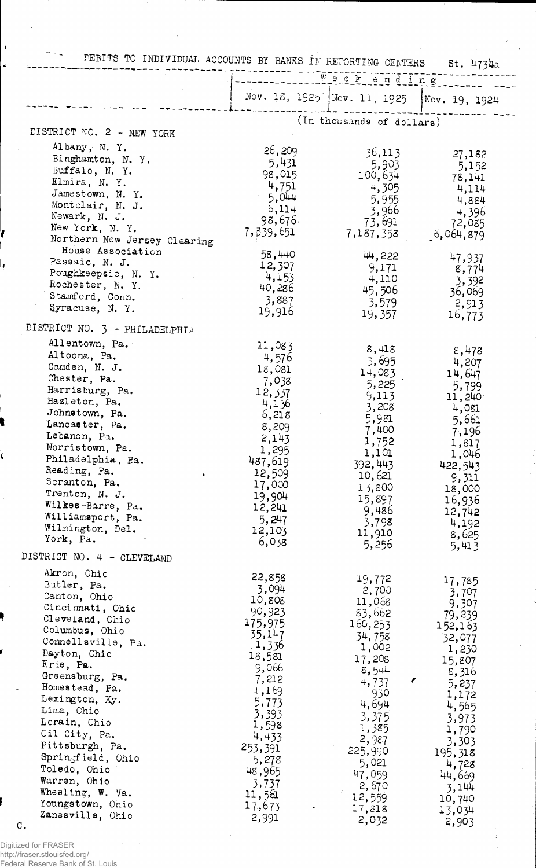|                                                                                                                                                                                                                                                                                                                                                                                                                                | PEBITS TO INDIVIDUAL ACCOUNTS BY BANKS IN REPORTING CENTERS<br>St. 4734a<br>Weekending                                                                                                                          |                                                                                                                                                                                                                    |                                                                                                                                                                                                      |
|--------------------------------------------------------------------------------------------------------------------------------------------------------------------------------------------------------------------------------------------------------------------------------------------------------------------------------------------------------------------------------------------------------------------------------|-----------------------------------------------------------------------------------------------------------------------------------------------------------------------------------------------------------------|--------------------------------------------------------------------------------------------------------------------------------------------------------------------------------------------------------------------|------------------------------------------------------------------------------------------------------------------------------------------------------------------------------------------------------|
|                                                                                                                                                                                                                                                                                                                                                                                                                                |                                                                                                                                                                                                                 | Nov. 18, 1925 Nov. 11, 1925 Nov. 19, 1924                                                                                                                                                                          |                                                                                                                                                                                                      |
| DISTRICT NO. 2 - NEW YORK                                                                                                                                                                                                                                                                                                                                                                                                      |                                                                                                                                                                                                                 | (In thousands of dollars)                                                                                                                                                                                          |                                                                                                                                                                                                      |
| Albany, N.Y.<br>Binghamton, N. Y.<br>Buffalo, N.Y.<br>Elmira, N. Y.<br>Jamestown, N.Y.<br>Montclair, N. J.<br>Newark, N. J.<br>New York, N. Y.<br>Northern New Jersey Clearing                                                                                                                                                                                                                                                 | 26,209<br>5,431<br>98,015<br>4,751<br>$-5,044$<br>6,114<br>98,676.<br>7,339,651                                                                                                                                 | 36,113<br>5,903<br>100,634<br>4,305<br>5,955<br>3,966<br>73,691<br>7,187,358                                                                                                                                       | 27,182<br>5,152<br>78,141<br>4,114<br>4,884<br>4,396<br>72,085<br>6,064,879                                                                                                                          |
| House Association<br>Passaic, N. J.<br>Poughkeepsie, N. Y.<br>Rochester, N. Y.<br>Stamford, Conn.<br>Syracuse, N.Y.                                                                                                                                                                                                                                                                                                            | 58,440<br>12,307<br>4,153<br>40,286<br>3,887<br>19,916                                                                                                                                                          | 44,222<br>9,171<br>4,110<br>45,506<br>3,579<br>19,357                                                                                                                                                              | 47,937<br>8,774<br>3,392<br>36,069<br>2,913<br>16,773                                                                                                                                                |
| DISTRICT NO. 3 - PHILADELPHIA                                                                                                                                                                                                                                                                                                                                                                                                  |                                                                                                                                                                                                                 |                                                                                                                                                                                                                    |                                                                                                                                                                                                      |
| Allentown, Pa.<br>Altoona, Pa.<br>Camden, N. J.<br>Chester, Pa.<br>Harrisburg, Pa.<br>Hazleton, Pa.<br>Johnstown, Pa.<br>Lancaster, Pa.<br>Lebanon, Pa.<br>Norristown, Pa.<br>Philadelphia, Pa.<br>Reading, Pa.<br>Scranton, Pa.<br>Trenton, N. J.<br>Wilkes-Barre, Pa.<br>Williamsport, Pa.<br>Wilmington, Del.<br>York, Pa.                                                                                                  | 11,083<br>4,576<br>18,081<br>7,038<br>12,337<br>4,136<br>6,218<br>8,209<br>2,143<br>1,295<br>487,619<br>12,509<br>17,000<br>19,904<br>12,241<br>5,247<br>12,103<br>6,038                                        | 8,418<br>3,695<br>14,083<br>5,225<br>9,113<br>3,208<br>5,981<br>7,400<br>1,752<br>1,101<br>392,443<br>10,621<br>13,800<br>15,897<br>9,486<br>3,798<br>11,910<br>5,256                                              | $\epsilon$ ,478<br>4,207<br>14,647<br>5,799<br>11,240<br>4,081<br>5,661<br>7,196<br>1,817<br>1,046<br>422,543<br>9,311<br>18,000<br>16,936<br>12,742<br>4,192<br>8,625<br>5,413                      |
| DISTRICT NO. 4 - CLEVELAND<br>Akron, Ohio<br>Butler, Pa.<br>Canton, Ohio<br>Cincinnati, Ohio<br>Cleveland, Ohio<br>Columbus, Ohio<br>Connellsville, Pa.<br>Dayton, Ohio<br>Erie, Pa.<br>Greensburg, Pa.<br>Homestead, Pa.<br>Lexington, Ky.<br>Lima, Chio<br>Lorain, Ohio<br>Oil City, Pa.<br>Pittsburgh, Pa.<br>Springfield, Ohio<br>Toledo, Ohio<br>Warren, Ohio<br>Wheeling, W. Va.<br>Youngstown, Ohio<br>Zanesville, Ohio | 22,858<br>3,094<br>10,808<br>90,923<br>175,975<br>35,147<br>.1,336<br>18,581<br>9,066<br>7,212<br>1,169<br>5,773<br>3,393<br>1,598<br>4,433<br>253,391<br>5,278<br>48,965<br>3,737<br>11,561<br>17,673<br>2,991 | 19,772<br>2,700<br>11,068<br>83,662<br>160,253<br>34,758<br>1,002<br>17,208<br>8,544<br>t,<br>4,737<br>930<br>4,694<br>3,375<br>1,385<br>2,987<br>225,990<br>5,021<br>47,059<br>2,670<br>12,559<br>17,318<br>2,032 | 17,785<br>3,707<br>9,307<br>79,239<br>152,163<br>32,077<br>1,230<br>15,807<br>8,316<br>5,237<br>1,172<br>4,565<br>3,973<br>1,790<br>3,303<br>195,318<br>4,728<br>44,669<br>3,144<br>10,740<br>13,034 |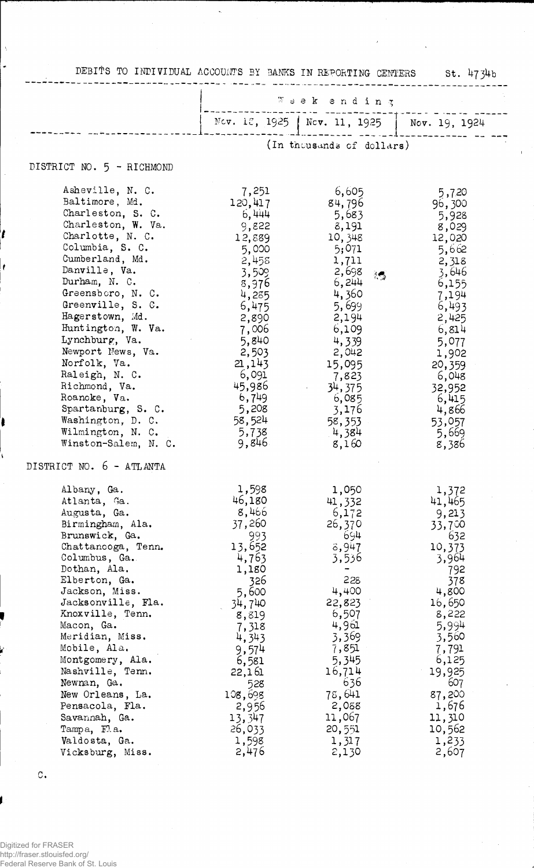| DEBITS TO INDIVIDUAL ACCOUNTS BY BANKS IN REPORTING CENTERS St. 4734b                                                                                                                                                                                                                                                                                                                                                                                         |                                                                                                                                                                                                                         |                                                                                                                                                                                                                        |                                                                                                                                                                                                                      |
|---------------------------------------------------------------------------------------------------------------------------------------------------------------------------------------------------------------------------------------------------------------------------------------------------------------------------------------------------------------------------------------------------------------------------------------------------------------|-------------------------------------------------------------------------------------------------------------------------------------------------------------------------------------------------------------------------|------------------------------------------------------------------------------------------------------------------------------------------------------------------------------------------------------------------------|----------------------------------------------------------------------------------------------------------------------------------------------------------------------------------------------------------------------|
|                                                                                                                                                                                                                                                                                                                                                                                                                                                               | Weekending<br>Nov. 12, 1925   Nov. 11, 1925   Nov. 19, 1924                                                                                                                                                             |                                                                                                                                                                                                                        |                                                                                                                                                                                                                      |
|                                                                                                                                                                                                                                                                                                                                                                                                                                                               |                                                                                                                                                                                                                         |                                                                                                                                                                                                                        |                                                                                                                                                                                                                      |
|                                                                                                                                                                                                                                                                                                                                                                                                                                                               |                                                                                                                                                                                                                         | (In thousands of dollars)                                                                                                                                                                                              |                                                                                                                                                                                                                      |
| DISTRICT NO. 5 - RICHMOND                                                                                                                                                                                                                                                                                                                                                                                                                                     |                                                                                                                                                                                                                         |                                                                                                                                                                                                                        |                                                                                                                                                                                                                      |
| Asheville, N. C.<br>Baltimore, Md.<br>Charleston, S. C.<br>Charleston, W. Va.<br>Charlotte, N. C.<br>Columbia, S. C.<br>Cumberland, Md.<br>Danville, Va.<br>Durham, N. C.<br>Greensboro, N.C.<br>Greenville, S. C.<br>Hagerstown, Md.<br>Huntington, W. Va.<br>Lynchburg, Va.<br>Newport News, Va.<br>Norfolk, Va.<br>Raleigh, N. C.<br>Richmond, Va.<br>Roanoke, Va.<br>Spartanburg, S. C.<br>Washington, D. C.<br>Wilmington, N. C.<br>Winston-Salem, N. C. | 7,251<br>120,417<br>6,444<br>9,822<br>12,889<br>5,000<br>2,458<br>3,509<br>8,976<br>4,285<br>6,475<br>2,890<br>7,006<br>5,840<br>2,503<br>21,143<br>6,091<br>45,986<br>6,749<br>5,208<br>58,524<br>5,738<br>9,846       | 6,605<br>84,796<br>5,683<br>8,191<br>10,348<br>5;071<br>1,711<br>2,698<br>得。<br>6,244<br>4,360<br>5,699<br>2,194<br>6,109<br>4,339<br>2,042<br>15,095<br>7,823<br>34,375<br>6,085<br>3,176<br>58,353<br>4,384<br>8,160 | 5,720<br>96,300<br>5,928<br>8,029<br>12,020<br>5,662<br>2,318<br>3,646<br>6,155<br>7,194<br>6,493<br>2,425<br>6,814<br>5,077<br>1,902<br>20,359<br>6,048<br>32,952<br>6,415<br>4,866<br>53,057<br>5,669<br>8,386     |
| DISTRICT NO. 6 - ATLANTA                                                                                                                                                                                                                                                                                                                                                                                                                                      |                                                                                                                                                                                                                         |                                                                                                                                                                                                                        |                                                                                                                                                                                                                      |
| Albany, Ga.<br>Atlanta, Ga.<br>Augusta, Ga.<br>Birmingham, Ala.<br>Brunswick, Ga.<br>Chattanooga, Tenn.<br>Columbus, Ga.<br>Dothan, Ala.<br>Elberton, Ga.<br>Jackson, Miss.<br>Jacksonville, Fla.<br>Knoxville, Tenn.<br>Macon, Ga.<br>Meridian, Miss.<br>Mobile, Ala.<br>Montgomery, Ala.<br>Nashville, Tenn.<br>Newnan, Ga.<br>New Orleans, La.<br>Pensacola, Fla.<br>Savannah, Ga.<br>Tampa, Fl.a.<br>Valdosta, Ga.<br>Vicksburg, Miss.                    | 1,598<br>46,180<br>8,466<br>37,260<br>993<br>13,652<br>4,763<br>1,180<br>326<br>5,600<br>34,740<br>8,819<br>7,318<br>4,343<br>9,574<br>6,581<br>22,161<br>528<br>108,698<br>2,956<br>13,347<br>26,033<br>1,598<br>2,476 | 1,050<br>41,332<br>6,172<br>26,370<br>694<br>3,947<br>3,536<br>228<br>4,400<br>22,823<br>6,507<br>4,961<br>3,369<br>7,851<br>5,345<br>16,714<br>636<br>78,641<br>2,088<br>11,067<br>20,551<br>1,317<br>2,130           | 1,372<br>41,465<br>9,213<br>33,700<br>632<br>10,373<br>3,964<br>792<br>378<br>4,800<br>16,650<br>8,222<br>5,994<br>3,560<br>7,791<br>6,125<br>19,925<br>607<br>87,200<br>1,676<br>11,310<br>10,562<br>1,233<br>2,607 |

 $\lambda$ 

 $\circ.$ 

 $\hat{\boldsymbol{\beta}}$  $\ddot{\phantom{0}}$ 

t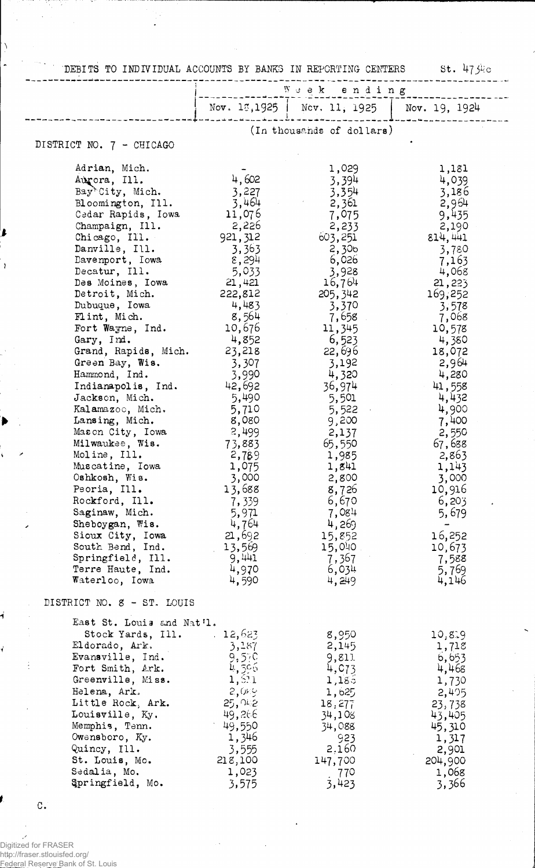DEBITS TO INDIVIDUAL ACCOUNTS BY BANKS IN REPORTING CENTERS St. 473kc

|                                        |                   | Nov. $15,1925$   Nev. 11, 1925 | Nov. 19, 1924    |
|----------------------------------------|-------------------|--------------------------------|------------------|
|                                        |                   |                                |                  |
|                                        |                   | (In thousands of dollars)      |                  |
| DISTRICT NO. 7 - CHICAGO               |                   |                                |                  |
| Adrian, Mich.                          |                   | 1,029                          | 1,181            |
| Aurora, Ill.                           | 4,602             | 3,394                          | 4,039            |
| Bay <sup>k</sup> City, Mich.           | 3,227             | 3,354                          | 3,186            |
| Bloomington, Ill.                      | 3,464             | 2,361                          | 2,964            |
| Cedar Rapids, Iowa                     | 11,076            | 7,075                          | 9,435            |
| Champaign, Ill.                        | 2,226             | 2,233                          | 2,190            |
| Chicago, III.<br>Danville, Ill.        | 921, 312<br>3,363 | 603,251<br>2,306               | 814,441<br>3,780 |
| Davenport, Iowa                        | 8,294             | 6,026                          | 7,163            |
| Decatur, Ill.                          | 5,033             | 3,928                          | 4,068            |
| Des Moines, Iowa                       | 21,421            | 16,764                         | 21,223           |
| Detroit, Mich.                         | 222,812           | 205,342                        | 169,252          |
| Dubuque, Iowa                          | 4,483             | 3,370                          | 3,578            |
| Flint, Mich.<br>Fort Wayne, Ind.       | 8,564<br>10,676   | 7,658<br>11,345                | 7,068            |
| Gary, Ind.                             | 4,852             | 6,523                          | 10,578<br>4,380  |
| Grand, Rapids, Mich.                   | 23,218            | 22,696                         | 18,072           |
| Green Bay, Wis.                        | 3,307             | 3,192                          | 2,964            |
| Hammond, Ind.                          | 3,990             | 4,320                          | 4,280            |
| Indianapolis, Ind.                     | 42,692            | 36,974                         | 41,558           |
| Jackson, Mich.                         | 5,490             | 5,501                          | 4,432            |
| Kalamazoo, Mich.<br>Lansing, Mich.     | 5,710<br>8,080    | 5,522<br>9,200                 | 4,900<br>7,400   |
| Mason City, Iowa                       | 2,499             | 2,137                          | 2,550            |
| Milwaukee, Wis.                        | 73,883            | 65,550                         | 67,688           |
| Moline, Ill.                           | 2,789             | 1,985                          | 2,863            |
| Muscatine, Iowa                        | 1,075             | 1,841                          | 1,143            |
| Oshkosh, Wis.<br>Peoria, Ill.          | 3,000<br>13,688   | 2,800<br>8,726                 | 3,000<br>10,916  |
| Rockford, Ill.                         | 7,339             | 6,670                          | 6,203            |
| Saginaw, Mich.                         | 5,971             | 7,084                          | 5,679            |
| Sheboygan, Wis.                        | 4,764             | 4,269                          |                  |
| Sioux City, Iowa                       | 21,692            | 15,852                         | 16,252           |
| South Bend, Ind.                       | 13,569            | 15,040                         | 10,673           |
| Springfield, Ill.<br>Terre Haute, Ind. | 9,441<br>4,970    | 7,367<br>6,034                 | 7,588<br>5,769   |
| Waterloo, Iowa                         | 4,590             | 4,249                          | 4,146            |
| DISTRICT NO. 8 - ST. LOUIS             |                   |                                |                  |
| East St. Louis and Nat'l.              |                   |                                |                  |
| Stock Yards, Ill.                      | 12,623            | 8,950                          | 10,819           |
| Eldorado, Ark.                         | 3,187             | 2,145                          | 1,71g            |
| Evansville, Ind.                       | $9,5,0$<br>4,506  | 9,811                          | 6,653            |
| Fort Smith, Ark.<br>Greenville, Miss.  | 1,5.1             | 4, 673<br>1,185                | 4,468<br>1,730   |
| Helena, Ark.                           | 2,089             | 1,625                          | 2,405            |
| Little Rock, Ark.                      | 25,042            | 18,277                         | 23,738           |
| Louisville, Ky.                        | 49,266            | 34,108                         | 43,405           |
| Memphis, Tenn.                         | 49,550            | 34,088                         | 45,310           |
| Owensboro, Ky.                         | 1,346             | 923                            | 1,317            |
| Quincy, Ill.<br>St. Louis, Mo.         | 3,555<br>218,100  | 2,160                          | 2,901            |
| Sedalia, Mo.                           | 1,023             | 147,700<br>770                 | 204,900<br>1,068 |
| Springfield, Mo.                       | 3,575             | 3,423                          | 3,366            |

 $\mathbf{C}$ .

11307 17

 $\bar{\beta}$ 

 $\sim$ 

 $\lambda$  $\ddot{\phantom{1}}$ 

 $\mathbf{r}$ 

 $\bar{z}$ 

 $\blacktriangleright$ 

1

 $\overline{\mathcal{C}}$ 

-73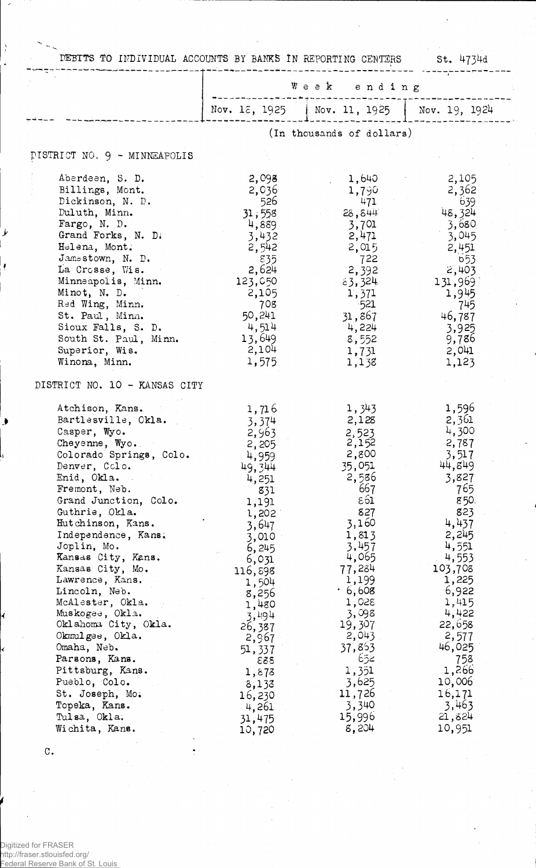| DEBITS TO INDIVIDUAL ACCOUNTS BY BANKS IN REPORTING CENTERS                                                                                                                                                                                                                                                                                                                                                                                                                                                                                                            |                                                                                                                                                                                                                                                                       |                                                                                                                                                                                                                                                                                | St. 4734d                                                                                                                                                                                                                                                           |
|------------------------------------------------------------------------------------------------------------------------------------------------------------------------------------------------------------------------------------------------------------------------------------------------------------------------------------------------------------------------------------------------------------------------------------------------------------------------------------------------------------------------------------------------------------------------|-----------------------------------------------------------------------------------------------------------------------------------------------------------------------------------------------------------------------------------------------------------------------|--------------------------------------------------------------------------------------------------------------------------------------------------------------------------------------------------------------------------------------------------------------------------------|---------------------------------------------------------------------------------------------------------------------------------------------------------------------------------------------------------------------------------------------------------------------|
|                                                                                                                                                                                                                                                                                                                                                                                                                                                                                                                                                                        | Week ending                                                                                                                                                                                                                                                           |                                                                                                                                                                                                                                                                                |                                                                                                                                                                                                                                                                     |
|                                                                                                                                                                                                                                                                                                                                                                                                                                                                                                                                                                        |                                                                                                                                                                                                                                                                       | Nov. 18, 1925   Nov. 11, 1925   Nov. 19, 1924                                                                                                                                                                                                                                  |                                                                                                                                                                                                                                                                     |
|                                                                                                                                                                                                                                                                                                                                                                                                                                                                                                                                                                        |                                                                                                                                                                                                                                                                       | (In thousands of dollars)                                                                                                                                                                                                                                                      |                                                                                                                                                                                                                                                                     |
| PISTRICT NO. 9 - MINNEAPOLIS                                                                                                                                                                                                                                                                                                                                                                                                                                                                                                                                           |                                                                                                                                                                                                                                                                       |                                                                                                                                                                                                                                                                                |                                                                                                                                                                                                                                                                     |
| Aberdeen, S. D.<br>Billings, Mont.<br>Dickinson, N. D.<br>Duluth, Minn.<br>Fargo, N. D.<br>Grand Forks, N. D.<br>Helena, Mont.<br>Jamestown, N. D.<br>La Crosse, Wis.<br>Minneapolis, Minn.<br>Minot, N. D.<br>Red Wing, Minn.<br>St. Paul, Minn.<br>Sioux Falls, S. D.<br>South St. Paul, Minn.<br>Superior, Wis.<br>Winona, Minn.                                                                                                                                                                                                                                    | 2,098<br>2,036<br>- 526<br>31,558<br>4,889<br>3,432<br>2,542<br>835<br>2,624<br>123,050<br>2,105<br>708<br>50,241<br>4,514<br>13,649<br>2,104<br>1,575                                                                                                                | 1,640<br>1,790<br>471<br>28,844<br>3,701<br>2,471<br>2,015<br>722<br>2,392<br>83,324<br>1,371<br>- 521<br>31,867<br>4,224<br>8,552<br>1,731<br>1,138                                                                                                                           | 2,105<br>2,362<br>639<br>48,324<br>3,680<br>3,045<br>2,451<br>653<br>2,403<br>131,969<br>1,945<br>745<br>46,787<br>3,925<br>9,786<br>2,041<br>1,123                                                                                                                 |
| DISTRICT NO. 10 - KANSAS CITY                                                                                                                                                                                                                                                                                                                                                                                                                                                                                                                                          |                                                                                                                                                                                                                                                                       |                                                                                                                                                                                                                                                                                |                                                                                                                                                                                                                                                                     |
| Atchison, Kans.<br>Bartlesville, Okla.<br>Casper, Wyo.<br>Cheyenne, Wyo.<br>Colorado Springs, Colo.<br>Denver, Colo.<br>Enid, Okla.<br>Fremont, Neb.<br>Grand Junction, Colo.<br>Guthrie, Okla.<br>Hutchinson, Kans.<br>Independence, Kans.<br>Joplin, Mo.<br>Kansas City, Kans.<br>Kansas City, Mo.<br>Lawrence, Kans.<br>Lincoln, Neb.<br>McAlester, Okla.<br>Muskogee, Okla.<br>Oklahoma City, Okla.<br>Okmulgee, Okla.<br>Omaha, Neb.<br>Parsons, Kans.<br>Pittsburg, Kans.<br>Pueblo, Colo.<br>St. Joseph, Mo.<br>Topeka, Kans.<br>Tulsa, Okla.<br>Wichita, Kans. | 1,716<br>3,374<br>2,963<br>2,205<br>4,959<br>49,344<br>4,251<br>831<br>1,191<br>1,202<br>3,647<br>3,010<br>6,245<br>6,031<br>116,898<br>1,504<br>8,256<br>1,480<br>3,494<br>26,387<br>2,967<br>51,337<br>888<br>1,873<br>8,133<br>16,230<br>4,261<br>31,475<br>10,720 | 1,343<br>2,128<br>2,523<br>2,152<br>2,800<br>35,051<br>2,586<br>667<br>$\varepsilon$ 61<br>827<br>3,160<br>1,813<br>3,457<br>4,065<br>77,284<br>1,199<br>· 6,608<br>1,028<br>3,098<br>19,307<br>2,043<br>37,853<br>5خۇ<br>1,351<br>3,625<br>11,726<br>3,340<br>15,996<br>8,204 | 1,596<br>2,361<br>4,300<br>2,787<br>3,517<br>44,849<br>3,827<br>765<br>850.<br>823<br>4,437<br>2,245<br>4,551<br>4,553<br>103,708<br>1,225<br>6,922<br>1,415<br>4,422<br>22,658<br>2,577<br>46,025<br>758<br>1,266<br>10,006<br>16,171<br>3,463<br>21,824<br>10,951 |

C.

k

Ì

Þ